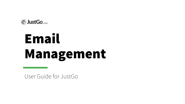

# Email Management

User Guide for JustGo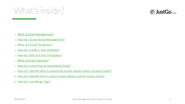#### What's inside?



- o [What is Email Management?](#page-2-0)
- o [How do I access Email Management?](#page-3-0)
- o [What are Email Templates?](#page-4-0)
- o [How do I create a new template?](#page-5-0)
- o [How do I edit an Email Templates?](#page-10-0)
- o [What is Email Overview?](#page-11-0)
- o [How do I customise an automated Email?](#page-14-0)
- o [How do I identify which customised emails replace which System Emails?](#page-20-0)
- o [How do I identify which custom email replaces which system email?](#page-20-0)
- o [How do I use Merge Tags?](#page-21-0)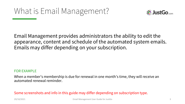

<span id="page-2-0"></span>Email Management provides administrators the ability to edit the appearance, content and schedule of the automated system emails. Emails may differ depending on your subscription.

#### FOR EXAMPLE

When a member's membership is due for renewal in one month's time, they will receive an automated renewal reminder.

Some screenshots and info in this guide may differ depending on subscription type.

29/10/2021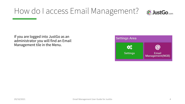#### <span id="page-3-0"></span>How do I access Email Management?



If you are logged into JustGo as an administrator you will find an Email Management tile in the Menu.

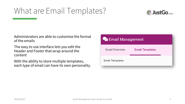#### <span id="page-4-0"></span>What are Email Templates?



Administrators are able to customise the format of the emails

The easy to use interface lets you edit the Header and Footer that wrap around the content

With the ability to store multiple templates, each type of email can have its own personality.

| <b>De Email Management</b> |                        |  |
|----------------------------|------------------------|--|
| <b>Email Overview</b>      | <b>Email Templates</b> |  |
| <b>Email Templates</b>     |                        |  |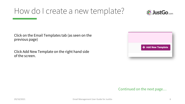

<span id="page-5-0"></span>Click on the Email Templates tab (as seen on the previous page)

Click Add New Template on the right hand side of the screen.

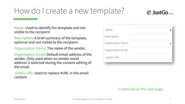

Name: Used to identify the template and not visible to the recipient.

Description: A brief summary of the template, optional and not visible to the recipient.

Organisation Name: The name of the sender.

Organisation Email: Default email address of the sender. Only used when no sender email address is selected during the content editing of the email.

JustGo URL: Used to replace #URL in the email content.

| Name:                      |  |
|----------------------------|--|
| Description:               |  |
| <b>Organisation Name:</b>  |  |
| <b>Organisation Email:</b> |  |
| <b>JustGo URL:</b>         |  |
|                            |  |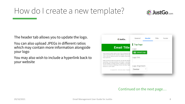

The header tab allows you to update the logo.

You can also upload JPEGs in different ratios which may contain more information alongside your logo

You may also wish to include a hyperlink back to your website

| ※ JustGo                                                                                                                                                                                                                                                                           | General                            | Header | Title | Footer |
|------------------------------------------------------------------------------------------------------------------------------------------------------------------------------------------------------------------------------------------------------------------------------------|------------------------------------|--------|-------|--------|
| <b>Email Title</b>                                                                                                                                                                                                                                                                 | Top logo<br>Logo:                  |        |       |        |
| Lorem Ipsum is simply dummy text of the printing and type<br>Lorem Ipsum has been the industry's standard dummy tex<br>1500s, when an unknown printer took a galley of type and<br>a type specimen.                                                                                | <b>M</b> Upload Logo<br>Logo link: |        |       |        |
| It has survived not only five centuries, but also the leap in<br>typesetting, remaining essentially unchanged. It was popu<br>with the release of Letraset sheets containing Lorem Ipsur<br>recently with desktop publishing software like Aldus Pagel<br>versions of Lorem Ipsum. | Logo Alignment:                    |        |       |        |
| © Copyright 2002 - 2019 Azolve Limited. All Rights Re                                                                                                                                                                                                                              | Center                             |        |       |        |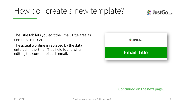

The Title tab lets you edit the Email Title area as seen in the image

The actual wording is replaced by the data entered in the Email Title field found when editing the content of each email.

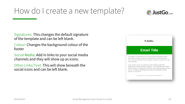

Signatures: This changes the default signature of the template and can be left blank.

Colour: Changes the background colour of the footer

Social Media: Add in links to your social media channels and they will show up as icons.

Other Links/Text: This will show beneath the social icons and can be left blank.

| <b>Email Title</b>                                                                                                                                                                                                                                                                                                                                   |  |
|------------------------------------------------------------------------------------------------------------------------------------------------------------------------------------------------------------------------------------------------------------------------------------------------------------------------------------------------------|--|
| Lorem Ipsum is simply dummy text of the printing and typesetting industry.<br>Lorem Ipsum has been the industry's standard dummy text ever since the<br>1500s, when an unknown printer took a galley of type and scrambled it to make<br>a type specimen.                                                                                            |  |
| It has survived not only five centuries, but also the leap into electronic<br>typesetting, remaining essentially unchanged. It was popularised in the 1960s<br>with the release of Letraset sheets containing Lorem Ipsum passages, and more<br>recently with desktop publishing software like Aldus PageMaker including<br>versions of Lorem Ipsum. |  |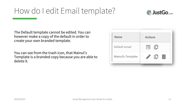### <span id="page-10-0"></span>How do I edit Email template?



The Default template cannot be edited. You can however make a copy of the default in order to create your own branded template.

You can see from the trash icon, that Mainul's Template is a branded copy because you are able to delete it.

| Name              | <b>Actions</b> |
|-------------------|----------------|
| Default email     | 罔<br>门         |
| Mainul's Template | ΓU             |
|                   |                |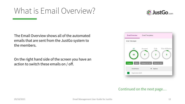#### <span id="page-11-0"></span>What is Email Overview?



The Email Overview shows all of the automated emails that are sent from the JustGo system to the members.

On the right hand side of the screen you have an action to switch these emails on / off.

| <b>Email Overview</b>     | <b>Email Templates</b> |                       |                       |
|---------------------------|------------------------|-----------------------|-----------------------|
| Email Messages            |                        |                       |                       |
| All<br>65                 | Account<br>8           | Club<br>$\mathbf{2}$  | Club Affiliation<br>5 |
| Category<br><b>Status</b> | Category by User       | <b>Status by User</b> |                       |
| <b>Email Name</b>         | ≑                      | Options               |                       |
| Registration (Self)       |                        |                       |                       |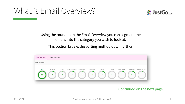#### What is Email Overview?



Using the roundels in the Email Overview you can segment the emails into the category you wish to look at.

This section breaks the sorting method down further.

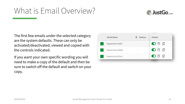#### What is Email Overview?



The first few emails under the selected category are the system defaults. These can only be activated/deactivated, viewed and copied with the controls indicated.

If you want your own specific wording you will need to make a copy of the default and then be sure to switch off the default and switch on your copy.

| Registration (Self) | $O \nparallel \nparallel$ |
|---------------------|---------------------------|
|                     |                           |
| Registration (NGB)  | ●图Ⅰ                       |
| Registration(Club)  | ○ 图 巾                     |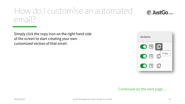

<span id="page-14-0"></span>Simply click the copy icon on the right hand side of the screen to start creating your own customized version of that email.

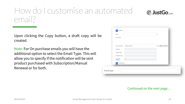29/10/2021 Email Management User Guide for JustGo 16

## How do I customise an automated email?

Upon clicking the Copy button, a draft copy will be created.

Note: For On purchase emails you will have the additional option to select the Email Type. This will allow you to specify if the notification will be sent product purchased with Subscription/Manual Renewal or for both.

| Name:                          |               | $\ast$  |                         |
|--------------------------------|---------------|---------|-------------------------|
| Description:                   |               |         |                         |
|                                |               |         |                         |
| Email Template:                | Default email | $- * P$ | <b>C</b> Edit Templates |
| Category:                      |               |         |                         |
| Trigger Type:                  |               |         |                         |
| Schedule Type:                 |               |         |                         |
| Schedule<br>(In Days):         | $\mathbb O$   |         |                         |
| Content Edit<br>$\overline{2}$ |               |         |                         |
|                                |               |         |                         |
| Email Type:                    |               |         |                         |

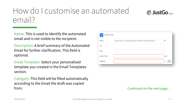

Name: This is used to identify the automated email and is not visible to the recipient.

Description: A brief summary of the Automated Email for further clarification. This field is optional.

Email Template: Select your personalised template you created in the Email Templates section.

Category: This field will be filled automatically according to the Email the draft was copied from.

| <b>Content Edit</b><br>$\overline{2}$ |                                                 |                                |
|---------------------------------------|-------------------------------------------------|--------------------------------|
| From:                                 | Type here to override your default from address |                                |
| CC:                                   |                                                 |                                |
| BCC:                                  |                                                 |                                |
| <b>Email Title:</b>                   |                                                 | $x \in$                        |
| Subject:                              |                                                 | #<br>$\boldsymbol{\mathsf{x}}$ |
|                                       |                                                 |                                |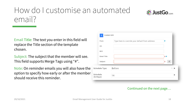

Subject: The subject that the member will see. This field supports Merge Tags using "#".

Note: On reminder emails you will also have the option to specify how early or after the member should receive this reminder.

| From:                  | Type here to override your default from address |                                   |
|------------------------|-------------------------------------------------|-----------------------------------|
| CC:                    |                                                 |                                   |
| BCC:                   |                                                 |                                   |
| <b>Email Title:</b>    |                                                 | ×₽                                |
| Subject:               |                                                 | $\#$<br>$\boldsymbol{\mathsf{x}}$ |
| Schedule Type:         | Before                                          |                                   |
| Schedule<br>(In Days): | 14                                              |                                   |

#### Continued on the next page…

**※JustGo.com**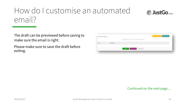

The draft can be previewed before saving to make sure the email is right.

Please make sure to save the draft before exiting.

| Attachments & Reports |             |                                        | + Add Attachments + Add Reports<br>----------------------------------- |
|-----------------------|-------------|----------------------------------------|------------------------------------------------------------------------|
|                       |             | Drag file(s) here or click to upload   |                                                                        |
| Name                  | MessageType |                                        |                                                                        |
|                       |             |                                        |                                                                        |
|                       |             | <b>Preview Email</b><br>Save<br>Cancel |                                                                        |
|                       |             |                                        |                                                                        |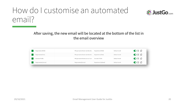

#### After saving, the new email will be located at the bottom of the list in the email overview

| Registration (NGB)   | #OrganisationName membershi                    | Registration(NGB)    | Default email | ●图母   |  |
|----------------------|------------------------------------------------|----------------------|---------------|-------|--|
| Registration(Club)   | #OrganisationName membershi                    | Registration(Club)   | Default email | ○日□   |  |
| Activate Profile     | #OrganisationName account act Activate Profile |                      | Default email | ○ 图 ① |  |
| Registration(Upload) | Registration(Upload)                           | Registration(Upload) | Default email | ●图母   |  |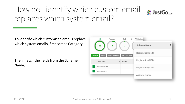## <span id="page-20-0"></span>How do I identify which custom email replaces which system email?



To identify which customised emails replace which system emails, first sort as Category.

Then match the fields from the Scheme Name.

| All                       | Account                 | Club                  | Club Affiliation   |  |
|---------------------------|-------------------------|-----------------------|--------------------|--|
| 65                        | 8                       | $\overline{2}$        | <b>Scheme Name</b> |  |
| Category<br><b>Status</b> | <b>Category by User</b> | <b>Status by User</b> | Registration(Self) |  |
| <b>Email Name</b>         |                         | Options               | Registration(NGB)  |  |
| Registration (Self)       |                         |                       | Registration(Club) |  |
| Registration (NGB)        |                         |                       |                    |  |
|                           |                         |                       | Activate Profile   |  |
|                           |                         |                       |                    |  |